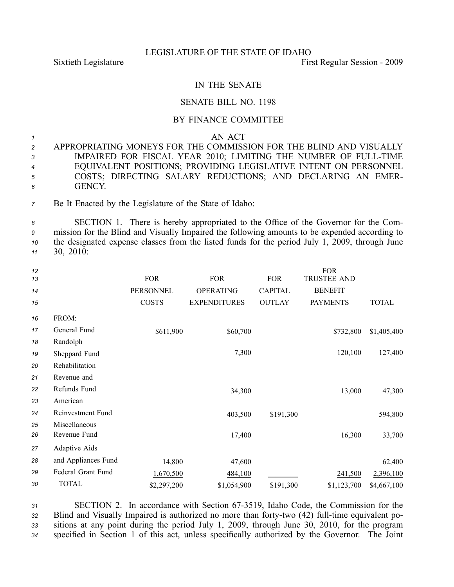## LEGISLATURE OF THE STATE OF IDAHO

Sixtieth Legislature First Regular Session - 2009

## IN THE SENATE

## SENATE BILL NO. 1198

## BY FINANCE COMMITTEE

*<sup>1</sup>* AN ACT

| $\overline{2}$ | APPROPRIATING MONEYS FOR THE COMMISSION FOR THE BLIND AND VISUALLY |
|----------------|--------------------------------------------------------------------|
| $\mathcal{E}$  | IMPAIRED FOR FISCAL YEAR 2010; LIMITING THE NUMBER OF FULL-TIME    |
| $\overline{4}$ | EQUIVALENT POSITIONS; PROVIDING LEGISLATIVE INTENT ON PERSONNEL    |
| 5 <sup>5</sup> | COSTS; DIRECTING SALARY REDUCTIONS; AND DECLARING AN EMER-         |
| 6 <sup>6</sup> | <b>GENCY</b>                                                       |

*<sup>7</sup>* Be It Enacted by the Legislature of the State of Idaho:

 SECTION 1. There is hereby appropriated to the Office of the Governor for the Com- mission for the Blind and Visually Impaired the following amounts to be expended according to the designated expense classes from the listed funds for the period July 1, 2009, through June 30, 2010:

| 12<br>13 |                     | <b>FOR</b>       | <b>FOR</b>          | <b>FOR</b>     | <b>FOR</b><br><b>TRUSTEE AND</b> |              |
|----------|---------------------|------------------|---------------------|----------------|----------------------------------|--------------|
| 14       |                     | <b>PERSONNEL</b> | <b>OPERATING</b>    | <b>CAPITAL</b> | <b>BENEFIT</b>                   |              |
| 15       |                     | <b>COSTS</b>     | <b>EXPENDITURES</b> | <b>OUTLAY</b>  | <b>PAYMENTS</b>                  | <b>TOTAL</b> |
| 16       | FROM:               |                  |                     |                |                                  |              |
| 17       | General Fund        | \$611,900        | \$60,700            |                | \$732,800                        | \$1,405,400  |
| 18       | Randolph            |                  |                     |                |                                  |              |
| 19       | Sheppard Fund       |                  | 7,300               |                | 120,100                          | 127,400      |
| 20       | Rehabilitation      |                  |                     |                |                                  |              |
| 21       | Revenue and         |                  |                     |                |                                  |              |
| 22       | Refunds Fund        |                  | 34,300              |                | 13,000                           | 47,300       |
| 23       | American            |                  |                     |                |                                  |              |
| 24       | Reinvestment Fund   |                  | 403,500             | \$191,300      |                                  | 594,800      |
| 25       | Miscellaneous       |                  |                     |                |                                  |              |
| 26       | Revenue Fund        |                  | 17,400              |                | 16,300                           | 33,700       |
| 27       | Adaptive Aids       |                  |                     |                |                                  |              |
| 28       | and Appliances Fund | 14,800           | 47,600              |                |                                  | 62,400       |
| 29       | Federal Grant Fund  | 1,670,500        | 484,100             |                | 241,500                          | 2,396,100    |
| 30       | <b>TOTAL</b>        | \$2,297,200      | \$1,054,900         | \$191,300      | \$1,123,700                      | \$4,667,100  |
|          |                     |                  |                     |                |                                  |              |

 SECTION 2. In accordance with Section 673519, Idaho Code, the Commission for the 32 Blind and Visually Impaired is authorized no more than forty-two (42) full-time equivalent po- sitions at any point during the period July 1, 2009, through June 30, 2010, for the program specified in Section 1 of this act, unless specifically authorized by the Governor. The Joint